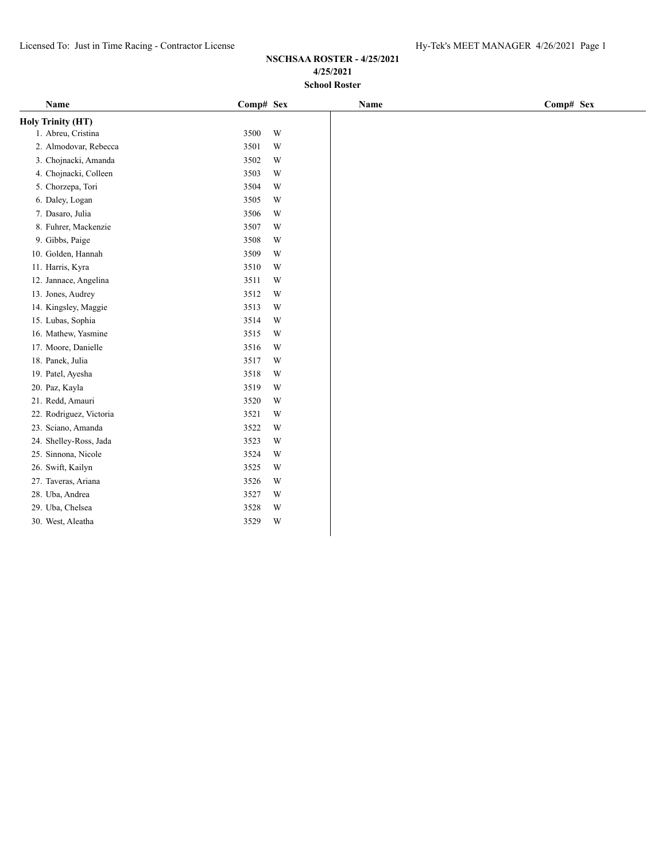| Name                     | Comp# Sex |   | Name | Comp# Sex |
|--------------------------|-----------|---|------|-----------|
| <b>Holy Trinity (HT)</b> |           |   |      |           |
| 1. Abreu, Cristina       | 3500      | W |      |           |
| 2. Almodovar, Rebecca    | 3501      | W |      |           |
| 3. Chojnacki, Amanda     | 3502      | W |      |           |
| 4. Chojnacki, Colleen    | 3503      | W |      |           |
| 5. Chorzepa, Tori        | 3504      | W |      |           |
| 6. Daley, Logan          | 3505      | W |      |           |
| 7. Dasaro, Julia         | 3506      | W |      |           |
| 8. Fuhrer, Mackenzie     | 3507      | W |      |           |
| 9. Gibbs, Paige          | 3508      | W |      |           |
| 10. Golden, Hannah       | 3509      | W |      |           |
| 11. Harris, Kyra         | 3510      | W |      |           |
| 12. Jannace, Angelina    | 3511      | W |      |           |
| 13. Jones, Audrey        | 3512      | W |      |           |
| 14. Kingsley, Maggie     | 3513      | W |      |           |
| 15. Lubas, Sophia        | 3514      | W |      |           |
| 16. Mathew, Yasmine      | 3515      | W |      |           |
| 17. Moore, Danielle      | 3516      | W |      |           |
| 18. Panek, Julia         | 3517      | W |      |           |
| 19. Patel, Ayesha        | 3518      | W |      |           |
| 20. Paz, Kayla           | 3519      | W |      |           |
| 21. Redd, Amauri         | 3520      | W |      |           |
| 22. Rodriguez, Victoria  | 3521      | W |      |           |
| 23. Sciano, Amanda       | 3522      | W |      |           |
| 24. Shelley-Ross, Jada   | 3523      | W |      |           |
| 25. Sinnona, Nicole      | 3524      | W |      |           |
| 26. Swift, Kailyn        | 3525      | W |      |           |
| 27. Taveras, Ariana      | 3526      | W |      |           |
| 28. Uba, Andrea          | 3527      | W |      |           |
| 29. Uba, Chelsea         | 3528      | W |      |           |
| 30. West, Aleatha        | 3529      | W |      |           |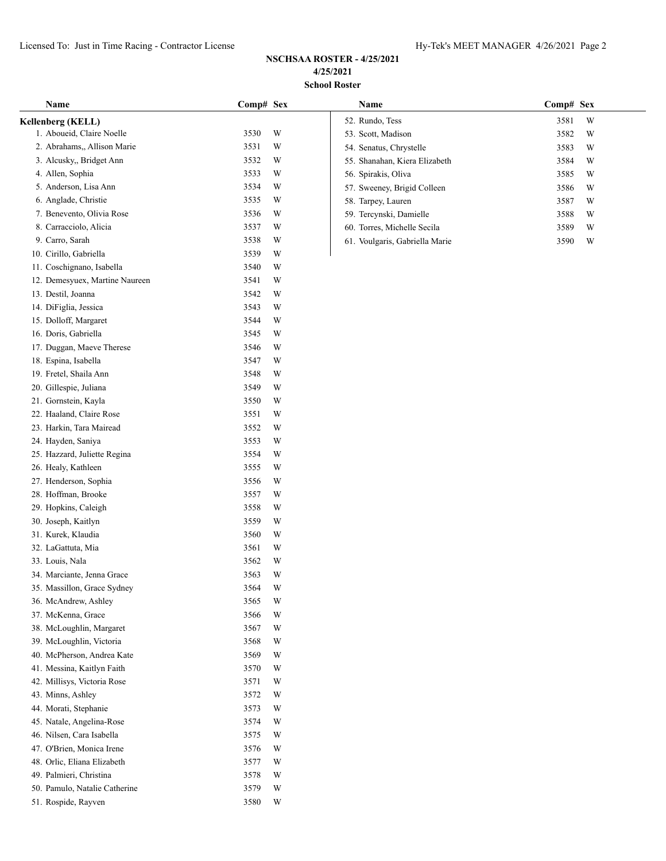| Name                           | Comp# Sex    |   | Name                           | Comp# Sex |
|--------------------------------|--------------|---|--------------------------------|-----------|
| Kellenberg (KELL)              |              |   | 52. Rundo, Tess                | 3581<br>W |
| 1. Aboueid, Claire Noelle      | 3530         | W | 53. Scott, Madison             | W<br>3582 |
| 2. Abrahams,, Allison Marie    | 3531         | W | 54. Senatus, Chrystelle        | W<br>3583 |
| 3. Alcusky,, Bridget Ann       | 3532         | W | 55. Shanahan, Kiera Elizabeth  | W<br>3584 |
| 4. Allen, Sophia               | 3533         | W | 56. Spirakis, Oliva            | 3585<br>W |
| 5. Anderson, Lisa Ann          | 3534         | W | 57. Sweeney, Brigid Colleen    | 3586<br>W |
| 6. Anglade, Christie           | 3535         | W | 58. Tarpey, Lauren             | 3587<br>W |
| 7. Benevento, Olivia Rose      | 3536         | W | 59. Tercynski, Damielle        | W<br>3588 |
| 8. Carracciolo, Alicia         | 3537         | W | 60. Torres, Michelle Secila    | 3589<br>W |
| 9. Carro, Sarah                | 3538         | W | 61. Voulgaris, Gabriella Marie | 3590<br>W |
| 10. Cirillo, Gabriella         | 3539         | W |                                |           |
| 11. Coschignano, Isabella      | 3540         | W |                                |           |
| 12. Demesyuex, Martine Naureen | 3541         | W |                                |           |
| 13. Destil, Joanna             | 3542         | W |                                |           |
| 14. DiFiglia, Jessica          | 3543         | W |                                |           |
| 15. Dolloff, Margaret          | 3544         | W |                                |           |
| 16. Doris, Gabriella           | 3545         | W |                                |           |
| 17. Duggan, Maeve Therese      | 3546         | W |                                |           |
| 18. Espina, Isabella           | 3547         | W |                                |           |
| 19. Fretel, Shaila Ann         | 3548         | W |                                |           |
| 20. Gillespie, Juliana         | 3549         | W |                                |           |
| 21. Gornstein, Kayla           | 3550         | W |                                |           |
| 22. Haaland, Claire Rose       | 3551         | W |                                |           |
| 23. Harkin, Tara Mairead       | 3552         | W |                                |           |
| 24. Hayden, Saniya             | 3553         | W |                                |           |
| 25. Hazzard, Juliette Regina   | 3554         | W |                                |           |
| 26. Healy, Kathleen            | 3555         | W |                                |           |
| 27. Henderson, Sophia          | 3556         | W |                                |           |
| 28. Hoffman, Brooke            | 3557         | W |                                |           |
| 29. Hopkins, Caleigh           | 3558         | W |                                |           |
| 30. Joseph, Kaitlyn            | 3559         | W |                                |           |
| 31. Kurek, Klaudia             | 3560         | W |                                |           |
| 32. LaGattuta, Mia             | 3561         | W |                                |           |
| 33. Louis, Nala                | 3562         | W |                                |           |
| 34. Marciante, Jenna Grace     | 3563         | W |                                |           |
| 35. Massillon, Grace Sydney    | 3564         | W |                                |           |
| 36. McAndrew, Ashley           | 3565         | W |                                |           |
| 37. McKenna, Grace             | 3566         | W |                                |           |
| 38. McLoughlin, Margaret       | 3567         | W |                                |           |
| 39. McLoughlin, Victoria       | 3568         | W |                                |           |
| 40. McPherson, Andrea Kate     | 3569         | W |                                |           |
| 41. Messina, Kaitlyn Faith     | 3570         | W |                                |           |
| 42. Millisys, Victoria Rose    | 3571         | W |                                |           |
| 43. Minns, Ashley              | 3572         | W |                                |           |
| 44. Morati, Stephanie          | 3573         | W |                                |           |
| 45. Natale, Angelina-Rose      |              | W |                                |           |
| 46. Nilsen, Cara Isabella      | 3574<br>3575 | W |                                |           |
|                                |              | W |                                |           |
| 47. O'Brien, Monica Irene      | 3576         |   |                                |           |
| 48. Orlic, Eliana Elizabeth    | 3577         | W |                                |           |
| 49. Palmieri, Christina        | 3578         | W |                                |           |
| 50. Pamulo, Natalie Catherine  | 3579         | W |                                |           |
| 51. Rospide, Rayven            | 3580         | W |                                |           |

| <b>Name</b>                    | Comp# Sex |   |
|--------------------------------|-----------|---|
| 52. Rundo, Tess                | 3581      | W |
| 53. Scott, Madison             | 3582      | W |
| 54. Senatus, Chrystelle        | 3583      | W |
| 55. Shanahan, Kiera Elizabeth  | 3584      | W |
| 56. Spirakis, Oliva            | 3585      | W |
| 57. Sweeney, Brigid Colleen    | 3586      | W |
| 58. Tarpey, Lauren             | 3587      | W |
| 59. Tercynski, Damielle        | 3588      | W |
| 60. Torres, Michelle Secila    | 3589      | W |
| 61. Voulgaris, Gabriella Marie | 3590      | W |
|                                |           |   |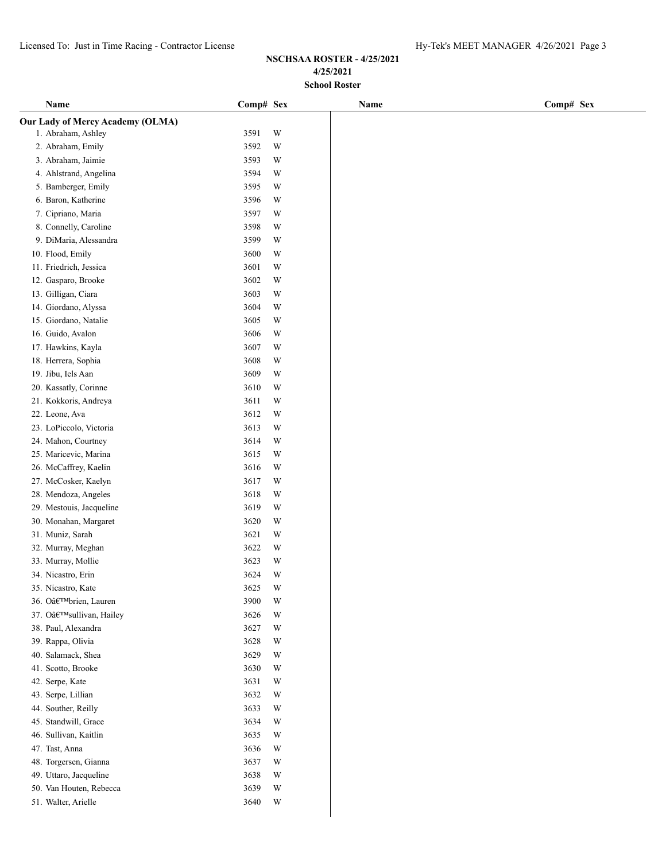| Name                                    | Comp# Sex | Name | Comp# Sex |
|-----------------------------------------|-----------|------|-----------|
| <b>Our Lady of Mercy Academy (OLMA)</b> |           |      |           |
| 1. Abraham, Ashley                      | W<br>3591 |      |           |
| 2. Abraham, Emily                       | 3592<br>W |      |           |
| 3. Abraham, Jaimie                      | 3593<br>W |      |           |
| 4. Ahlstrand, Angelina                  | 3594<br>W |      |           |
| 5. Bamberger, Emily                     | 3595<br>W |      |           |
| 6. Baron, Katherine                     | 3596<br>W |      |           |
| 7. Cipriano, Maria                      | 3597<br>W |      |           |
| 8. Connelly, Caroline                   | 3598<br>W |      |           |
| 9. DiMaria, Alessandra                  | 3599<br>W |      |           |
| 10. Flood, Emily                        | 3600<br>W |      |           |
| 11. Friedrich, Jessica                  | 3601<br>W |      |           |
| 12. Gasparo, Brooke                     | 3602<br>W |      |           |
| 13. Gilligan, Ciara                     | W<br>3603 |      |           |
| 14. Giordano, Alyssa                    | 3604<br>W |      |           |
| 15. Giordano, Natalie                   | 3605<br>W |      |           |
| 16. Guido, Avalon                       | 3606<br>W |      |           |
| 17. Hawkins, Kayla                      | 3607<br>W |      |           |
| 18. Herrera, Sophia                     | 3608<br>W |      |           |
| 19. Jibu, Iels Aan                      | 3609<br>W |      |           |
| 20. Kassatly, Corinne                   | 3610<br>W |      |           |
| 21. Kokkoris, Andreya                   | 3611<br>W |      |           |
| 22. Leone, Ava                          | 3612<br>W |      |           |
| 23. LoPiccolo, Victoria                 | 3613<br>W |      |           |
| 24. Mahon, Courtney                     | 3614<br>W |      |           |
| 25. Maricevic, Marina                   | 3615<br>W |      |           |
| 26. McCaffrey, Kaelin                   | 3616<br>W |      |           |
| 27. McCosker, Kaelyn                    | 3617<br>W |      |           |
| 28. Mendoza, Angeles                    | 3618<br>W |      |           |
| 29. Mestouis, Jacqueline                | 3619<br>W |      |           |
| 30. Monahan, Margaret                   | 3620<br>W |      |           |
| 31. Muniz, Sarah                        | 3621<br>W |      |           |
| 32. Murray, Meghan                      | 3622<br>W |      |           |
| 33. Murray, Mollie                      | W<br>3623 |      |           |
| 34. Nicastro, Erin                      | 3624<br>W |      |           |
| 35. Nicastro, Kate                      | 3625<br>W |      |           |
| 36. O'brien, Lauren                     | 3900<br>W |      |           |
| 37. O'sullivan, Hailey                  | 3626<br>W |      |           |
| 38. Paul, Alexandra                     | 3627<br>W |      |           |
| 39. Rappa, Olivia                       | 3628<br>W |      |           |
| 40. Salamack, Shea                      | 3629<br>W |      |           |
| 41. Scotto, Brooke                      | 3630<br>W |      |           |
| 42. Serpe, Kate                         | 3631<br>W |      |           |
| 43. Serpe, Lillian                      | W<br>3632 |      |           |
| 44. Souther, Reilly                     | W<br>3633 |      |           |
| 45. Standwill, Grace                    | 3634<br>W |      |           |
| 46. Sullivan, Kaitlin                   | W<br>3635 |      |           |
| 47. Tast, Anna                          | 3636<br>W |      |           |
| 48. Torgersen, Gianna                   | W<br>3637 |      |           |
| 49. Uttaro, Jacqueline                  | W<br>3638 |      |           |
| 50. Van Houten, Rebecca                 | 3639<br>W |      |           |
| 51. Walter, Arielle                     | W<br>3640 |      |           |
|                                         |           |      |           |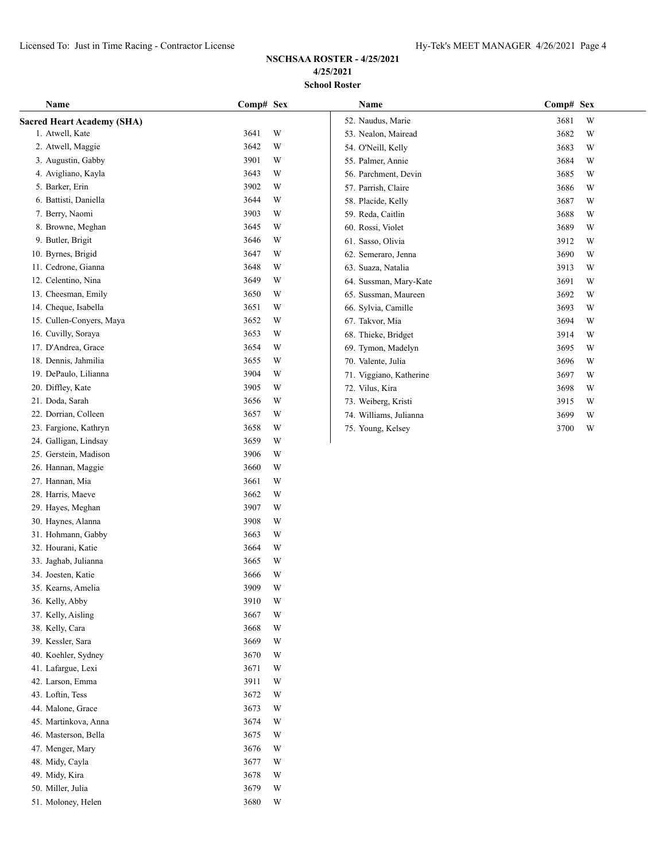# **NSCHSAA ROSTER - 4/25/2021 4/25/2021 School Roster**

| Name                              | Comp# Sex |             | Name                    | Comp# Sex |
|-----------------------------------|-----------|-------------|-------------------------|-----------|
| <b>Sacred Heart Academy (SHA)</b> |           |             | 52. Naudus, Marie       | 3681<br>W |
| 1. Atwell, Kate                   | 3641      | W           | 53. Nealon, Mairead     | 3682<br>W |
| 2. Atwell, Maggie                 | 3642      | W           | 54. O'Neill, Kelly      | 3683<br>W |
| 3. Augustin, Gabby                | 3901      | W           | 55. Palmer, Annie       | 3684<br>W |
| 4. Avigliano, Kayla               | 3643      | W           | 56. Parchment, Devin    | 3685<br>W |
| 5. Barker, Erin                   | 3902      | W           | 57. Parrish, Claire     | 3686<br>W |
| 6. Battisti, Daniella             | 3644      | W           | 58. Placide, Kelly      | 3687<br>W |
| 7. Berry, Naomi                   | 3903      | W           | 59. Reda, Caitlin       | 3688<br>W |
| 8. Browne, Meghan                 | 3645      | W           | 60. Rossi, Violet       | 3689<br>W |
| 9. Butler, Brigit                 | 3646      | W           | 61. Sasso, Olivia       | 3912<br>W |
| 10. Byrnes, Brigid                | 3647      | W           | 62. Semeraro, Jenna     | 3690<br>W |
| 11. Cedrone, Gianna               | 3648      | W           | 63. Suaza, Natalia      | 3913<br>W |
| 12. Celentino, Nina               | 3649      | W           | 64. Sussman, Mary-Kate  | 3691<br>W |
| 13. Cheesman, Emily               | 3650      | W           | 65. Sussman, Maureen    | 3692<br>W |
| 14. Cheque, Isabella              | 3651      | W           | 66. Sylvia, Camille     | 3693<br>W |
| 15. Cullen-Conyers, Maya          | 3652      | W           | 67. Takvor, Mia         | 3694<br>W |
| 16. Cuvilly, Soraya               | 3653      | W           | 68. Thieke, Bridget     | 3914<br>W |
| 17. D'Andrea, Grace               | 3654      | W           | 69. Tymon, Madelyn      | 3695<br>W |
| 18. Dennis, Jahmilia              | 3655      | W           | 70. Valente, Julia      | 3696<br>W |
| 19. DePaulo, Lilianna             | 3904      | W           | 71. Viggiano, Katherine | 3697<br>W |
| 20. Diffley, Kate                 | 3905      | W           | 72. Vilus, Kira         | 3698<br>W |
| 21. Doda, Sarah                   | 3656      | W           | 73. Weiberg, Kristi     | 3915<br>W |
| 22. Dorrian, Colleen              | 3657      | W           | 74. Williams, Julianna  | 3699<br>W |
| 23. Fargione, Kathryn             | 3658      | W           | 75. Young, Kelsey       | 3700<br>W |
| 24. Galligan, Lindsay             | 3659      | W           |                         |           |
| 25. Gerstein, Madison             | 3906      | W           |                         |           |
| 26. Hannan, Maggie                | 3660      | W           |                         |           |
| 27. Hannan, Mia                   | 3661      | W           |                         |           |
| 28. Harris, Maeve                 | 3662      | W           |                         |           |
| 29. Hayes, Meghan                 | 3907      | W           |                         |           |
| 30. Haynes, Alanna                | 3908      | W           |                         |           |
| 31. Hohmann, Gabby                | 3663      | W           |                         |           |
| 32. Hourani, Katie                | 3664      | W           |                         |           |
| 33. Jaghab, Julianna              | 3665      | W           |                         |           |
| 34. Joesten, Katie                | 3666      | W           |                         |           |
| 35. Kearns, Amelia                | 3909      | W           |                         |           |
| 36. Kelly, Abby                   | 3910      | W           |                         |           |
| 37. Kelly, Aisling                | 3667      | W           |                         |           |
| 38. Kelly, Cara                   | 3668      | W           |                         |           |
| 39. Kessler, Sara                 | 3669      | W           |                         |           |
| 40. Koehler, Sydney               | 3670      | $\mathbf W$ |                         |           |
| 41. Lafargue, Lexi                | 3671      | $\mathbf W$ |                         |           |
| 42. Larson, Emma                  | 3911      | $\mathbf W$ |                         |           |
| 43. Loftin, Tess                  | 3672      | W           |                         |           |
| 44. Malone, Grace                 | 3673      | W           |                         |           |
| 45. Martinkova, Anna              | 3674      | W           |                         |           |
| 46. Masterson, Bella              | 3675      | W           |                         |           |
| 47. Menger, Mary                  | 3676      | W           |                         |           |
| 48. Midy, Cayla                   | 3677      | W           |                         |           |
| 49. Midy, Kira                    | 3678      | W           |                         |           |
| 50. Miller, Julia                 | 3679      | W           |                         |           |

51. Moloney, Helen 3680 W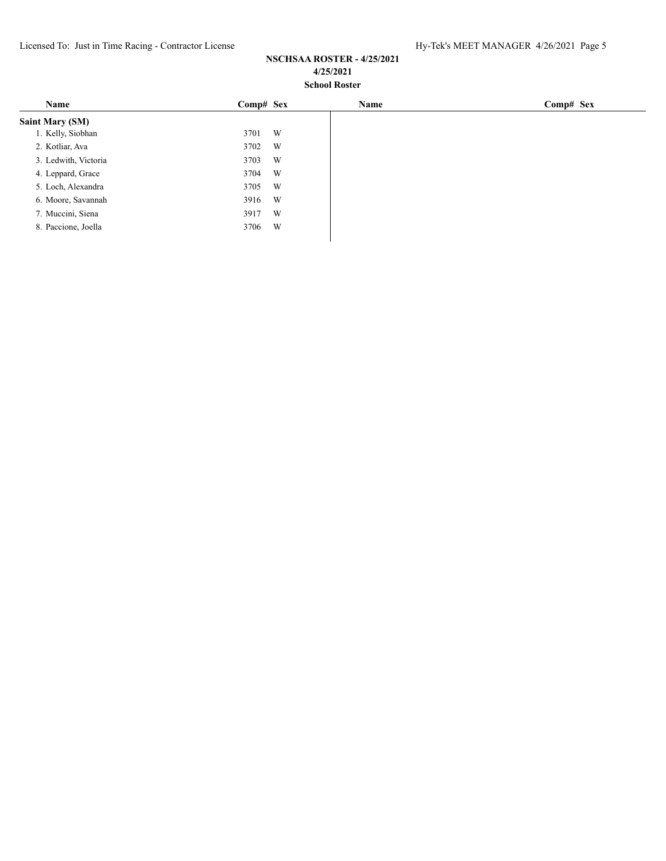| Name                   | Comp# Sex | Name | Comp# Sex |
|------------------------|-----------|------|-----------|
| <b>Saint Mary (SM)</b> |           |      |           |
| 1. Kelly, Siobhan      | W<br>3701 |      |           |
| 2. Kotliar, Ava        | W<br>3702 |      |           |
| 3. Ledwith, Victoria   | W<br>3703 |      |           |
| 4. Leppard, Grace      | W<br>3704 |      |           |
| 5. Loch, Alexandra     | W<br>3705 |      |           |
| 6. Moore, Savannah     | W<br>3916 |      |           |
| 7. Muccini, Siena      | W<br>3917 |      |           |
| 8. Paccione, Joella    | W<br>3706 |      |           |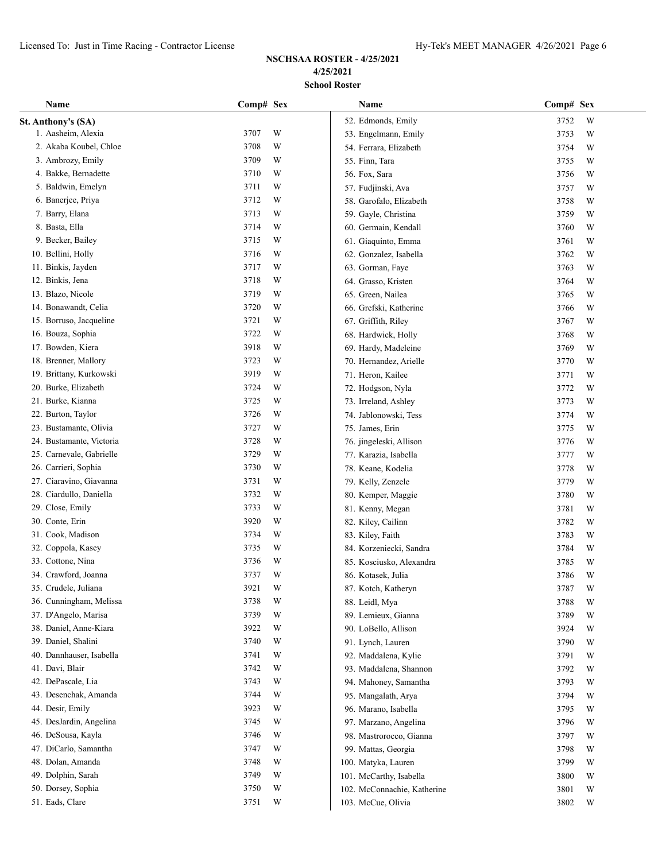| Name                     | Comp# Sex |   | Name                        | Comp# Sex |   |
|--------------------------|-----------|---|-----------------------------|-----------|---|
| St. Anthony's (SA)       |           |   | 52. Edmonds, Emily          | 3752      | W |
| 1. Aasheim, Alexia       | 3707      | W | 53. Engelmann, Emily        | 3753      | W |
| 2. Akaba Koubel, Chloe   | 3708      | W | 54. Ferrara, Elizabeth      | 3754      | W |
| 3. Ambrozy, Emily        | 3709      | W | 55. Finn, Tara              | 3755      | W |
| 4. Bakke, Bernadette     | 3710      | W | 56. Fox, Sara               | 3756      | W |
| 5. Baldwin, Emelyn       | 3711      | W | 57. Fudjinski, Ava          | 3757      | W |
| 6. Banerjee, Priya       | 3712      | W | 58. Garofalo, Elizabeth     | 3758      | W |
| 7. Barry, Elana          | 3713      | W | 59. Gayle, Christina        | 3759      | W |
| 8. Basta, Ella           | 3714      | W | 60. Germain, Kendall        | 3760      | W |
| 9. Becker, Bailey        | 3715      | W | 61. Giaquinto, Emma         | 3761      | W |
| 10. Bellini, Holly       | 3716      | W | 62. Gonzalez, Isabella      | 3762      | W |
| 11. Binkis, Jayden       | 3717      | W | 63. Gorman, Faye            | 3763      | W |
| 12. Binkis, Jena         | 3718      | W | 64. Grasso, Kristen         | 3764      | W |
| 13. Blazo, Nicole        | 3719      | W | 65. Green, Nailea           | 3765      | W |
| 14. Bonawandt, Celia     | 3720      | W | 66. Grefski, Katherine      | 3766      | W |
| 15. Borruso, Jacqueline  | 3721      | W | 67. Griffith, Riley         | 3767      | W |
| 16. Bouza, Sophia        | 3722      | W | 68. Hardwick, Holly         | 3768      | W |
| 17. Bowden, Kiera        | 3918      | W | 69. Hardy, Madeleine        | 3769      | W |
| 18. Brenner, Mallory     | 3723      | W | 70. Hernandez, Arielle      | 3770      | W |
| 19. Brittany, Kurkowski  | 3919      | W | 71. Heron, Kailee           | 3771      | W |
| 20. Burke, Elizabeth     | 3724      | W | 72. Hodgson, Nyla           | 3772      | W |
| 21. Burke, Kianna        | 3725      | W | 73. Irreland, Ashley        | 3773      | W |
| 22. Burton, Taylor       | 3726      | W | 74. Jablonowski, Tess       | 3774      | W |
| 23. Bustamante, Olivia   | 3727      | W | 75. James, Erin             | 3775      | W |
| 24. Bustamante, Victoria | 3728      | W | 76. jingeleski, Allison     | 3776      | W |
| 25. Carnevale, Gabrielle | 3729      | W | 77. Karazia, Isabella       | 3777      | W |
| 26. Carrieri, Sophia     | 3730      | W | 78. Keane, Kodelia          | 3778      | W |
| 27. Ciaravino, Giavanna  | 3731      | W | 79. Kelly, Zenzele          | 3779      | W |
| 28. Ciardullo, Daniella  | 3732      | W | 80. Kemper, Maggie          | 3780      | W |
| 29. Close, Emily         | 3733      | W | 81. Kenny, Megan            | 3781      | W |
| 30. Conte, Erin          | 3920      | W | 82. Kiley, Cailinn          | 3782      | W |
| 31. Cook, Madison        | 3734      | W | 83. Kiley, Faith            | 3783      | W |
| 32. Coppola, Kasey       | 3735      | W | 84. Korzeniecki, Sandra     | 3784      | W |
| 33. Cottone, Nina        | 3736      | W | 85. Kosciusko, Alexandra    | 3785      | W |
| 34. Crawford, Joanna     | 3737      | W | 86. Kotasek, Julia          | 3786      | W |
| 35. Crudele, Juliana     | 3921      | W | 87. Kotch, Katheryn         | 3787      | W |
| 36. Cunningham, Melissa  | 3738      | W | 88. Leidl, Mya              | 3788      | W |
| 37. D'Angelo, Marisa     | 3739      | W | 89. Lemieux, Gianna         | 3789      | W |
| 38. Daniel, Anne-Kiara   | 3922      | W | 90. LoBello, Allison        | 3924      | W |
| 39. Daniel, Shalini      | 3740      | W | 91. Lynch, Lauren           | 3790      | W |
| 40. Dannhauser, Isabella | 3741      | W | 92. Maddalena, Kylie        | 3791      | W |
| 41. Davi, Blair          | 3742      | W | 93. Maddalena, Shannon      | 3792      | W |
| 42. DePascale, Lia       | 3743      | W | 94. Mahoney, Samantha       | 3793      | W |
| 43. Desenchak, Amanda    | 3744      | W | 95. Mangalath, Arya         | 3794      | W |
| 44. Desir, Emily         | 3923      | W | 96. Marano, Isabella        | 3795      | W |
| 45. DesJardin, Angelina  | 3745      | W | 97. Marzano, Angelina       | 3796      | W |
| 46. DeSousa, Kayla       | 3746      | W | 98. Mastrorocco, Gianna     | 3797      | W |
| 47. DiCarlo, Samantha    | 3747      | W | 99. Mattas, Georgia         | 3798      | W |
| 48. Dolan, Amanda        | 3748      | W | 100. Matyka, Lauren         | 3799      | W |
| 49. Dolphin, Sarah       | 3749      | W | 101. McCarthy, Isabella     | 3800      | W |
| 50. Dorsey, Sophia       | 3750      | W | 102. McConnachie, Katherine | 3801      | W |
| 51. Eads, Clare          | 3751      | W | 103. McCue, Olivia          | 3802      | W |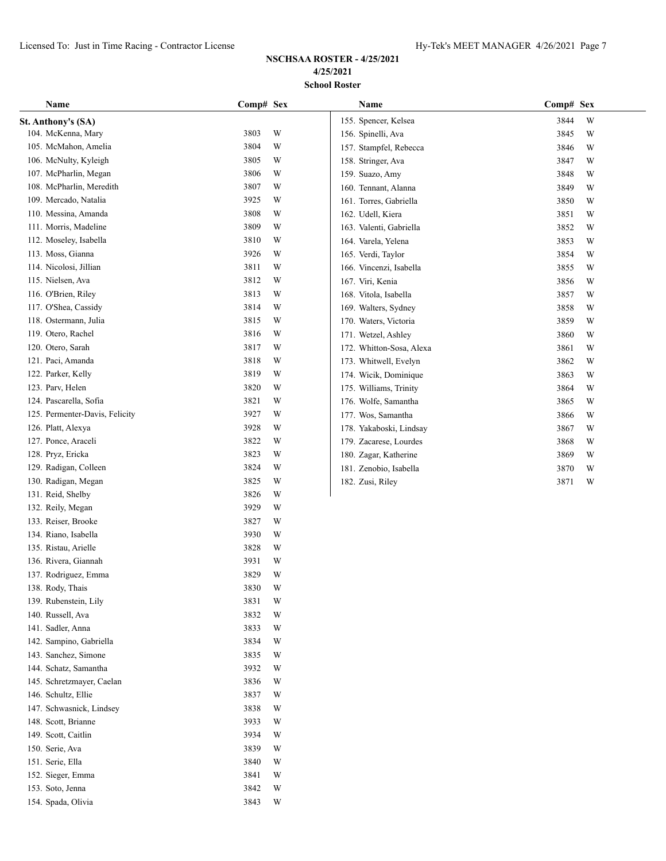154. Spada, Olivia 3843 W

| Name                           | Comp# Sex |   | Name                     | Comp# Sex |
|--------------------------------|-----------|---|--------------------------|-----------|
| St. Anthony's (SA)             |           |   | 155. Spencer, Kelsea     | 3844<br>W |
| 104. McKenna, Mary             | 3803      | W | 156. Spinelli, Ava       | W<br>3845 |
| 105. McMahon, Amelia           | 3804      | W | 157. Stampfel, Rebecca   | W<br>3846 |
| 106. McNulty, Kyleigh          | 3805      | W | 158. Stringer, Ava       | 3847<br>W |
| 107. McPharlin, Megan          | 3806      | W | 159. Suazo, Amy          | 3848<br>W |
| 108. McPharlin, Meredith       | 3807      | W | 160. Tennant, Alanna     | 3849<br>W |
| 109. Mercado, Natalia          | 3925      | W | 161. Torres, Gabriella   | 3850<br>W |
| 110. Messina, Amanda           | 3808      | W | 162. Udell, Kiera        | 3851<br>W |
| 111. Morris, Madeline          | 3809      | W | 163. Valenti, Gabriella  | 3852<br>W |
| 112. Moseley, Isabella         | 3810      | W | 164. Varela, Yelena      | 3853<br>W |
| 113. Moss, Gianna              | 3926      | W | 165. Verdi, Taylor       | 3854<br>W |
| 114. Nicolosi, Jillian         | 3811      | W | 166. Vincenzi, Isabella  | W<br>3855 |
| 115. Nielsen, Ava              | 3812      | W | 167. Viri, Kenia         | W<br>3856 |
| 116. O'Brien, Riley            | 3813      | W | 168. Vitola, Isabella    | W<br>3857 |
| 117. O'Shea, Cassidy           | 3814      | W | 169. Walters, Sydney     | 3858<br>W |
| 118. Ostermann, Julia          | 3815      | W | 170. Waters, Victoria    | 3859<br>W |
| 119. Otero, Rachel             | 3816      | W | 171. Wetzel, Ashley      | W<br>3860 |
| 120. Otero, Sarah              | 3817      | W | 172. Whitton-Sosa, Alexa | W<br>3861 |
| 121. Paci, Amanda              | 3818      | W | 173. Whitwell, Evelyn    | 3862<br>W |
| 122. Parker, Kelly             | 3819      | W | 174. Wicik, Dominique    | 3863<br>W |
| 123. Parv, Helen               | 3820      | W | 175. Williams, Trinity   | 3864<br>W |
| 124. Pascarella, Sofia         | 3821      | W | 176. Wolfe, Samantha     | W<br>3865 |
| 125. Permenter-Davis, Felicity | 3927      | W | 177. Wos, Samantha       | W<br>3866 |
| 126. Platt, Alexya             | 3928      | W | 178. Yakaboski, Lindsay  | 3867<br>W |
| 127. Ponce, Araceli            | 3822      | W | 179. Zacarese, Lourdes   | 3868<br>W |
| 128. Pryz, Ericka              | 3823      | W | 180. Zagar, Katherine    | W<br>3869 |
| 129. Radigan, Colleen          | 3824      | W | 181. Zenobio, Isabella   | W<br>3870 |
| 130. Radigan, Megan            | 3825      | W | 182. Zusi, Riley         | 3871<br>W |
| 131. Reid, Shelby              | 3826      | W |                          |           |
| 132. Reily, Megan              | 3929      | W |                          |           |
| 133. Reiser, Brooke            | 3827      | W |                          |           |
| 134. Riano, Isabella           | 3930      | W |                          |           |
| 135. Ristau, Arielle           | 3828      | W |                          |           |
| 136. Rivera, Giannah           | 3931      | W |                          |           |
| 137. Rodriguez, Emma           | 3829      | W |                          |           |
| 138. Rody, Thais               | 3830      | W |                          |           |
| 139. Rubenstein, Lily          | 3831      | W |                          |           |
| 140. Russell, Ava              | 3832      | W |                          |           |
| 141. Sadler, Anna              | 3833      | W |                          |           |
| 142. Sampino, Gabriella        | 3834      | W |                          |           |
| 143. Sanchez, Simone           | 3835      | W |                          |           |
| 144. Schatz, Samantha          | 3932      | W |                          |           |
| 145. Schretzmayer, Caelan      | 3836      | W |                          |           |
| 146. Schultz, Ellie            | 3837      | W |                          |           |
| 147. Schwasnick, Lindsey       | 3838      | W |                          |           |
| 148. Scott, Brianne            | 3933      | W |                          |           |
| 149. Scott, Caitlin            | 3934      | W |                          |           |
| 150. Serie, Ava                | 3839      | W |                          |           |
| 151. Serie, Ella               | 3840      | W |                          |           |
| 152. Sieger, Emma              | 3841      | W |                          |           |
| 153. Soto, Jenna               | 3842      | W |                          |           |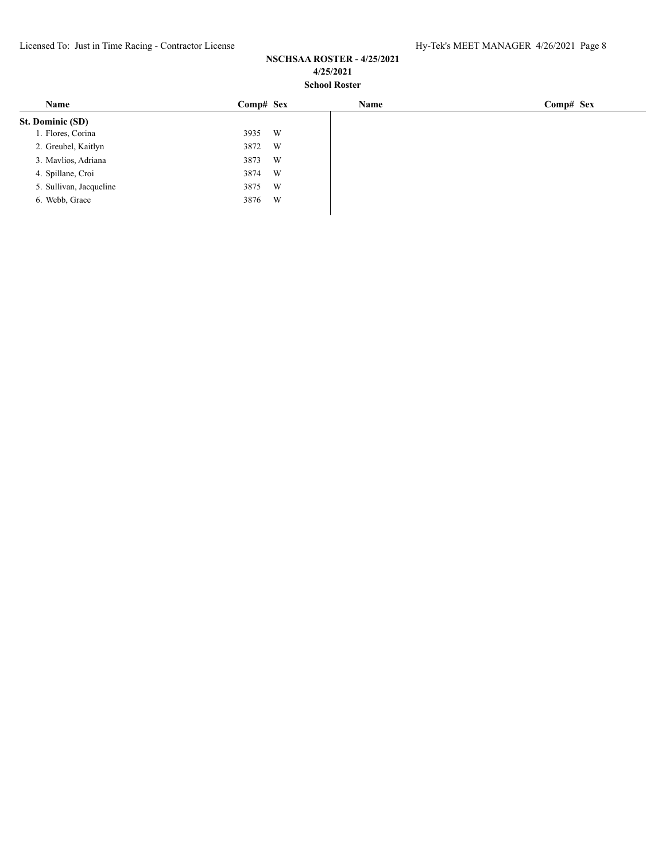|      |   | Name           | Comp# Sex |
|------|---|----------------|-----------|
|      |   |                |           |
| 3935 |   |                |           |
| 3872 | W |                |           |
| 3873 | W |                |           |
| 3874 | W |                |           |
| 3875 | W |                |           |
| 3876 | W |                |           |
|      |   | Comp# Sex<br>W |           |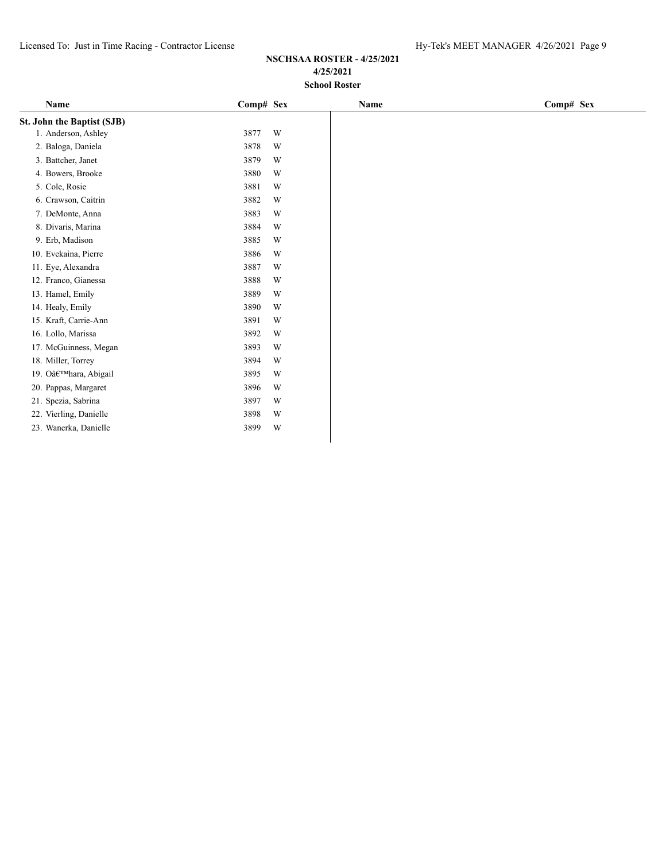| Name                       | Comp# Sex |   | Name | Comp# Sex |
|----------------------------|-----------|---|------|-----------|
| St. John the Baptist (SJB) |           |   |      |           |
| 1. Anderson, Ashley        | 3877      | W |      |           |
| 2. Baloga, Daniela         | 3878      | W |      |           |
| 3. Battcher, Janet         | 3879      | W |      |           |
| 4. Bowers, Brooke          | 3880      | W |      |           |
| 5. Cole, Rosie             | 3881      | W |      |           |
| 6. Crawson, Caitrin        | 3882      | W |      |           |
| 7. DeMonte, Anna           | 3883      | W |      |           |
| 8. Divaris, Marina         | 3884      | W |      |           |
| 9. Erb, Madison            | 3885      | W |      |           |
| 10. Evekaina, Pierre       | 3886      | W |      |           |
| 11. Eye, Alexandra         | 3887      | W |      |           |
| 12. Franco, Gianessa       | 3888      | W |      |           |
| 13. Hamel, Emily           | 3889      | W |      |           |
| 14. Healy, Emily           | 3890      | W |      |           |
| 15. Kraft, Carrie-Ann      | 3891      | W |      |           |
| 16. Lollo, Marissa         | 3892      | W |      |           |
| 17. McGuinness, Megan      | 3893      | W |      |           |
| 18. Miller, Torrey         | 3894      | W |      |           |
| 19. O'hara, Abigail        | 3895      | W |      |           |
| 20. Pappas, Margaret       | 3896      | W |      |           |
| 21. Spezia, Sabrina        | 3897      | W |      |           |
| 22. Vierling, Danielle     | 3898      | W |      |           |
| 23. Wanerka, Danielle      | 3899      | W |      |           |